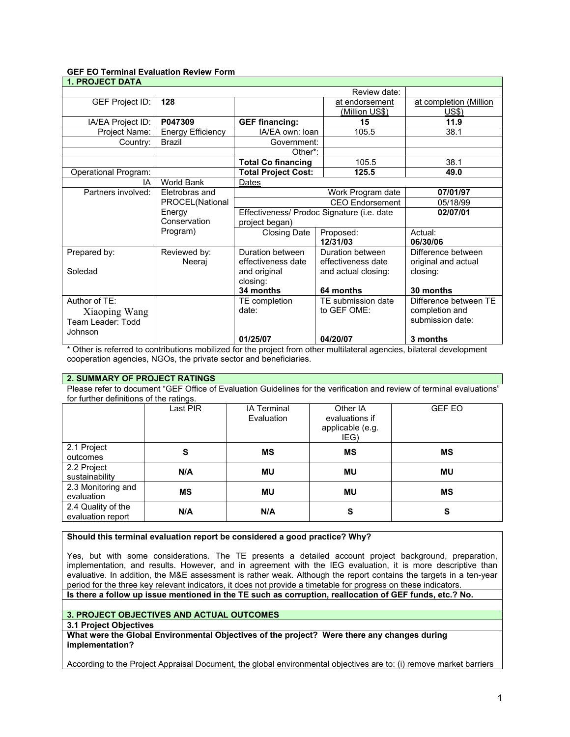# **GEF EO Terminal Evaluation Review Form**

| <b>1. PROJECT DATA</b> |                    |                                             |                                           |                                                                                                                                                                                                                                                        |  |
|------------------------|--------------------|---------------------------------------------|-------------------------------------------|--------------------------------------------------------------------------------------------------------------------------------------------------------------------------------------------------------------------------------------------------------|--|
|                        | Review date:       |                                             |                                           |                                                                                                                                                                                                                                                        |  |
| <b>GEF Project ID:</b> | 128                |                                             | at endorsement                            | at completion (Million                                                                                                                                                                                                                                 |  |
|                        |                    |                                             | <u>(Million US\$)</u>                     | US\$)                                                                                                                                                                                                                                                  |  |
| IA/EA Project ID:      | P047309            | <b>GEF financing:</b>                       | 15                                        | 11.9                                                                                                                                                                                                                                                   |  |
| Project Name:          | Energy Efficiency  | IA/EA own: Ioan                             | 105.5                                     | 38.1                                                                                                                                                                                                                                                   |  |
| Country:               | Brazil             | Government:                                 |                                           |                                                                                                                                                                                                                                                        |  |
|                        |                    | Other*:                                     |                                           |                                                                                                                                                                                                                                                        |  |
|                        |                    | <b>Total Co financing</b>                   | 105.5                                     | 38.1                                                                                                                                                                                                                                                   |  |
| Operational Program:   |                    | <b>Total Project Cost:</b><br>125.5         |                                           | 49.0                                                                                                                                                                                                                                                   |  |
| IA                     | <b>World Bank</b>  | Dates                                       |                                           |                                                                                                                                                                                                                                                        |  |
| Partners involved:     | Eletrobras and     | Work Program date                           |                                           | 07/01/97                                                                                                                                                                                                                                               |  |
|                        | PROCEL(National    | CEO Endorsement                             |                                           | 05/18/99                                                                                                                                                                                                                                               |  |
|                        | Energy             | Effectiveness/ Prodoc Signature (i.e. date  |                                           | 02/07/01                                                                                                                                                                                                                                               |  |
|                        | Conservation       | project began)                              |                                           |                                                                                                                                                                                                                                                        |  |
|                        | Program)           | <b>Closing Date</b>                         | Proposed:                                 | Actual:                                                                                                                                                                                                                                                |  |
|                        |                    |                                             | 12/31/03                                  | 06/30/06                                                                                                                                                                                                                                               |  |
| Prepared by:           | Reviewed by:       | Duration between                            | Duration between                          | Difference between                                                                                                                                                                                                                                     |  |
|                        | Neeraj             | effectiveness date                          | effectiveness date                        | original and actual                                                                                                                                                                                                                                    |  |
| Soledad                |                    | and original                                | and actual closing:                       | closing:                                                                                                                                                                                                                                               |  |
|                        |                    | closing:                                    |                                           |                                                                                                                                                                                                                                                        |  |
|                        |                    | 34 months                                   | 64 months                                 | 30 months                                                                                                                                                                                                                                              |  |
| Author of TE:          |                    | TE completion                               | TE submission date                        | Difference between TE                                                                                                                                                                                                                                  |  |
| Xiaoping Wang          |                    | date:                                       | to GEF OME:                               | completion and                                                                                                                                                                                                                                         |  |
| Team Leader: Todd      |                    |                                             |                                           | submission date:                                                                                                                                                                                                                                       |  |
| Johnson                |                    |                                             |                                           |                                                                                                                                                                                                                                                        |  |
|                        | $1.211 \pm 1.6$ at | 01/25/07<br>$\cdot$ $\cdot$ $\cdot$ $\cdot$ | 04/20/07<br><b>THE RESIDENT CONTINUES</b> | 3 months<br><b><i>But the state of the state of the state of the state of the state of the state of the state of the state of the state of the state of the state of the state of the state of the state of the state of the state of the stat</i></b> |  |

Other is referred to contributions mobilized for the project from other multilateral agencies, bilateral development cooperation agencies, NGOs, the private sector and beneficiaries.

## **2. SUMMARY OF PROJECT RATINGS**

Please refer to document "GEF Office of Evaluation Guidelines for the verification and review of terminal evaluations" for further definitions of the ratings.

|                                         | Last PIR | <b>IA Terminal</b><br>Evaluation | Other IA<br>evaluations if<br>applicable (e.g.<br>IEG) | <b>GEF EO</b> |
|-----------------------------------------|----------|----------------------------------|--------------------------------------------------------|---------------|
| 2.1 Project<br>outcomes                 | S        | ΜS                               | ΜS                                                     | MS            |
| 2.2 Project<br>sustainability           | N/A      | <b>MU</b>                        | <b>MU</b>                                              | MU            |
| 2.3 Monitoring and<br>evaluation        | ΜS       | <b>MU</b>                        | <b>MU</b>                                              | MS            |
| 2.4 Quality of the<br>evaluation report | N/A      | N/A                              | S                                                      | S             |

**Should this terminal evaluation report be considered a good practice? Why?**

Yes, but with some considerations. The TE presents a detailed account project background, preparation, implementation, and results. However, and in agreement with the IEG evaluation, it is more descriptive than evaluative. In addition, the M&E assessment is rather weak. Although the report contains the targets in a ten-year period for the three key relevant indicators, it does not provide a timetable for progress on these indicators.

**Is there a follow up issue mentioned in the TE such as corruption, reallocation of GEF funds, etc.? No.**

## **3. PROJECT OBJECTIVES AND ACTUAL OUTCOMES**

**3.1 Project Objectives**

**What were the Global Environmental Objectives of the project? Were there any changes during implementation?**

According to the Project Appraisal Document, the global environmental objectives are to: (i) remove market barriers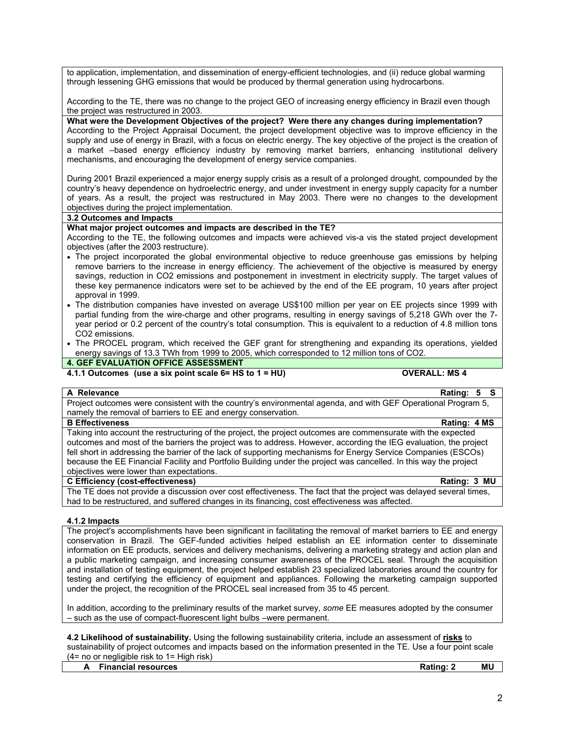to application, implementation, and dissemination of energy-efficient technologies, and (ii) reduce global warming through lessening GHG emissions that would be produced by thermal generation using hydrocarbons.

According to the TE, there was no change to the project GEO of increasing energy efficiency in Brazil even though the project was restructured in 2003.

**What were the Development Objectives of the project? Were there any changes during implementation?** According to the Project Appraisal Document, the project development objective was to improve efficiency in the supply and use of energy in Brazil, with a focus on electric energy. The key objective of the project is the creation of a market –based energy efficiency industry by removing market barriers, enhancing institutional delivery mechanisms, and encouraging the development of energy service companies.

During 2001 Brazil experienced a major energy supply crisis as a result of a prolonged drought, compounded by the country's heavy dependence on hydroelectric energy, and under investment in energy supply capacity for a number of years. As a result, the project was restructured in May 2003. There were no changes to the development objectives during the project implementation.

### **3.2 Outcomes and Impacts**

#### **What major project outcomes and impacts are described in the TE?**

According to the TE, the following outcomes and impacts were achieved vis-a vis the stated project development objectives (after the 2003 restructure).

- The project incorporated the global environmental objective to reduce greenhouse gas emissions by helping remove barriers to the increase in energy efficiency. The achievement of the objective is measured by energy savings, reduction in CO2 emissions and postponement in investment in electricity supply. The target values of these key permanence indicators were set to be achieved by the end of the EE program, 10 years after project approval in 1999.
- The distribution companies have invested on average US\$100 million per year on EE projects since 1999 with partial funding from the wire-charge and other programs, resulting in energy savings of 5,218 GWh over the 7 year period or 0.2 percent of the country's total consumption. This is equivalent to a reduction of 4.8 million tons CO2 emissions.
- The PROCEL program, which received the GEF grant for strengthening and expanding its operations, yielded energy savings of 13.3 TWh from 1999 to 2005, which corresponded to 12 million tons of CO2.

# **4. GEF EVALUATION OFFICE ASSESSMENT**

# **4.1.1 Outcomes (use a six point scale 6= HS to 1 = HU) OVERALL: MS 4**

## **A Relevance Rating: 5 S**

Project outcomes were consistent with the country's environmental agenda, and with GEF Operational Program 5, namely the removal of barriers to EE and energy conservation.

#### **B Effectiveness Rating: 4 MS**

Taking into account the restructuring of the project, the project outcomes are commensurate with the expected outcomes and most of the barriers the project was to address. However, according the IEG evaluation, the project fell short in addressing the barrier of the lack of supporting mechanisms for Energy Service Companies (ESCOs) because the EE Financial Facility and Portfolio Building under the project was cancelled. In this way the project objectives were lower than expectations.

#### **C Efficiency (cost-effectiveness) Rating: 3 MU**

The TE does not provide a discussion over cost effectiveness. The fact that the project was delayed several times, had to be restructured, and suffered changes in its financing, cost effectiveness was affected.

#### **4.1.2 Impacts**

The project's accomplishments have been significant in facilitating the removal of market barriers to EE and energy conservation in Brazil. The GEF-funded activities helped establish an EE information center to disseminate information on EE products, services and delivery mechanisms, delivering a marketing strategy and action plan and a public marketing campaign, and increasing consumer awareness of the PROCEL seal. Through the acquisition and installation of testing equipment, the project helped establish 23 specialized laboratories around the country for testing and certifying the efficiency of equipment and appliances. Following the marketing campaign supported under the project, the recognition of the PROCEL seal increased from 35 to 45 percent.

In addition, according to the preliminary results of the market survey, *some* EE measures adopted by the consumer – such as the use of compact-fluorescent light bulbs –were permanent.

**4.2 Likelihood of sustainability.** Using the following sustainability criteria, include an assessment of **risks** to sustainability of project outcomes and impacts based on the information presented in the TE. Use a four point scale  $(4=$  no or negligible risk to  $1=$  High risk)

|  | .                   |               |    |
|--|---------------------|---------------|----|
|  | Financial resources | <b>Rating</b> | MU |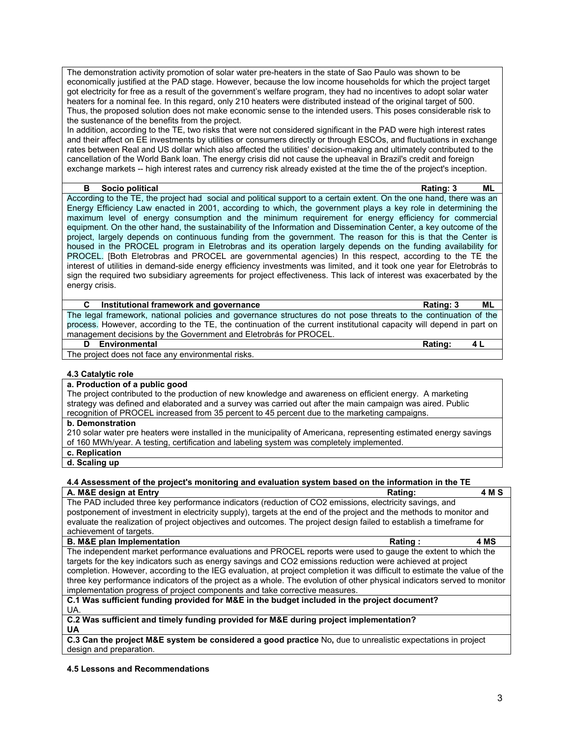The demonstration activity promotion of solar water pre-heaters in the state of Sao Paulo was shown to be economically justified at the PAD stage. However, because the low income households for which the project target got electricity for free as a result of the government's welfare program, they had no incentives to adopt solar water heaters for a nominal fee. In this regard, only 210 heaters were distributed instead of the original target of 500. Thus, the proposed solution does not make economic sense to the intended users. This poses considerable risk to the sustenance of the benefits from the project.

In addition, according to the TE, two risks that were not considered significant in the PAD were high interest rates and their affect on EE investments by utilities or consumers directly or through ESCOs, and fluctuations in exchange rates between Real and US dollar which also affected the utilities' decision-making and ultimately contributed to the cancellation of the World Bank loan. The energy crisis did not cause the upheaval in Brazil's credit and foreign exchange markets -- high interest rates and currency risk already existed at the time the of the project's inception.

#### **B Socio political Rating: 3 ML**

According to the TE, the project had social and political support to a certain extent. On the one hand, there was an Energy Efficiency Law enacted in 2001, according to which, the government plays a key role in determining the maximum level of energy consumption and the minimum requirement for energy efficiency for commercial equipment. On the other hand, the sustainability of the Information and Dissemination Center, a key outcome of the project, largely depends on continuous funding from the government. The reason for this is that the Center is housed in the PROCEL program in Eletrobras and its operation largely depends on the funding availability for PROCEL. [Both Eletrobras and PROCEL are governmental agencies) In this respect, according to the TE the interest of utilities in demand-side energy efficiency investments was limited, and it took one year for Eletrobrás to sign the required two subsidiary agreements for project effectiveness. This lack of interest was exacerbated by the energy crisis.

**C Institutional framework and governance Rating: 3 ML**

The legal framework, national policies and governance structures do not pose threats to the continuation of the process. However, according to the TE, the continuation of the current institutional capacity will depend in part on management decisions by the Government and Eletrobrás for PROCEL.

## **D Environmental Rating: 4 L**

The project does not face any environmental risks.

### **4.3 Catalytic role**

# **a. Production of a public good**

The project contributed to the production of new knowledge and awareness on efficient energy. A marketing strategy was defined and elaborated and a survey was carried out after the main campaign was aired. Public recognition of PROCEL increased from 35 percent to 45 percent due to the marketing campaigns.

#### **b. Demonstration**

210 solar water pre heaters were installed in the municipality of Americana, representing estimated energy savings of 160 MWh/year. A testing, certification and labeling system was completely implemented.

**c. Replication**

**d. Scaling up**

### **4.4 Assessment of the project's monitoring and evaluation system based on the information in the TE**

**A. M&E design at Entry Community Community Community Rating:** 4 M S The PAD included three key performance indicators (reduction of CO2 emissions, electricity savings, and postponement of investment in electricity supply), targets at the end of the project and the methods to monitor and evaluate the realization of project objectives and outcomes. The project design failed to establish a timeframe for achievement of targets.

| <b>B. M&amp;E plan Implementation</b>                                                                                     | Rating:       | 4 MS |
|---------------------------------------------------------------------------------------------------------------------------|---------------|------|
| The independent market performance evaluations and PROCEL reports were used to gauge the extent to which the              |               |      |
| targets for the key indicators such as energy savings and CO2 emissions reduction were achieved at project                |               |      |
| completion. However, according to the IEG evaluation, at project completion it was difficult to estimate the value of the |               |      |
| three key performance indicators of the project as a whole. The evolution of other physical indicators served to monitor  |               |      |
| implementation progress of project components and take corrective measures.                                               |               |      |
|                                                                                                                           | $\sim$ $\sim$ |      |

#### **C.1 Was sufficient funding provided for M&E in the budget included in the project document?**  UA.

#### **C.2 Was sufficient and timely funding provided for M&E during project implementation? UA**

**C.3 Can the project M&E system be considered a good practice** No**,** due to unrealistic expectations in project design and preparation.

### **4.5 Lessons and Recommendations**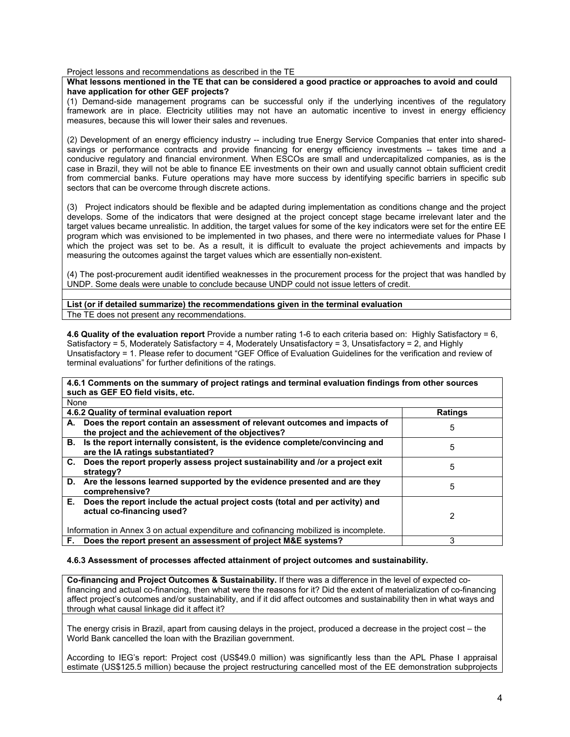Project lessons and recommendations as described in the TE

#### **What lessons mentioned in the TE that can be considered a good practice or approaches to avoid and could have application for other GEF projects?**

(1) Demand-side management programs can be successful only if the underlying incentives of the regulatory framework are in place. Electricity utilities may not have an automatic incentive to invest in energy efficiency measures, because this will lower their sales and revenues.

(2) Development of an energy efficiency industry -- including true Energy Service Companies that enter into sharedsavings or performance contracts and provide financing for energy efficiency investments -- takes time and a conducive regulatory and financial environment. When ESCOs are small and undercapitalized companies, as is the case in Brazil, they will not be able to finance EE investments on their own and usually cannot obtain sufficient credit from commercial banks. Future operations may have more success by identifying specific barriers in specific sub sectors that can be overcome through discrete actions.

(3) Project indicators should be flexible and be adapted during implementation as conditions change and the project develops. Some of the indicators that were designed at the project concept stage became irrelevant later and the target values became unrealistic. In addition, the target values for some of the key indicators were set for the entire EE program which was envisioned to be implemented in two phases, and there were no intermediate values for Phase I which the project was set to be. As a result, it is difficult to evaluate the project achievements and impacts by measuring the outcomes against the target values which are essentially non-existent.

(4) The post-procurement audit identified weaknesses in the procurement process for the project that was handled by UNDP. Some deals were unable to conclude because UNDP could not issue letters of credit.

**List (or if detailed summarize) the recommendations given in the terminal evaluation**  The TE does not present any recommendations.

**4.6 Quality of the evaluation report** Provide a number rating 1-6 to each criteria based on: Highly Satisfactory = 6, Satisfactory = 5, Moderately Satisfactory = 4, Moderately Unsatisfactory = 3, Unsatisfactory = 2, and Highly Unsatisfactory = 1. Please refer to document "GEF Office of Evaluation Guidelines for the verification and review of terminal evaluations" for further definitions of the ratings.

| 4.6.1 Comments on the summary of project ratings and terminal evaluation findings from other sources                               |                |  |  |
|------------------------------------------------------------------------------------------------------------------------------------|----------------|--|--|
| such as GEF EO field visits, etc.                                                                                                  |                |  |  |
| None                                                                                                                               |                |  |  |
| 4.6.2 Quality of terminal evaluation report                                                                                        | <b>Ratings</b> |  |  |
| A. Does the report contain an assessment of relevant outcomes and impacts of<br>the project and the achievement of the objectives? | 5              |  |  |
| B. Is the report internally consistent, is the evidence complete/convincing and<br>are the IA ratings substantiated?               | 5              |  |  |
| C. Does the report properly assess project sustainability and /or a project exit<br>strategy?                                      | 5              |  |  |
| D. Are the lessons learned supported by the evidence presented and are they<br>comprehensive?                                      | 5              |  |  |
| E. Does the report include the actual project costs (total and per activity) and<br>actual co-financing used?                      | 2              |  |  |
| Information in Annex 3 on actual expenditure and cofinancing mobilized is incomplete.                                              |                |  |  |
| F. Does the report present an assessment of project M&E systems?                                                                   | 3              |  |  |

### **4.6.3 Assessment of processes affected attainment of project outcomes and sustainability.**

**Co-financing and Project Outcomes & Sustainability.** If there was a difference in the level of expected cofinancing and actual co-financing, then what were the reasons for it? Did the extent of materialization of co-financing affect project's outcomes and/or sustainability, and if it did affect outcomes and sustainability then in what ways and through what causal linkage did it affect it?

The energy crisis in Brazil, apart from causing delays in the project, produced a decrease in the project cost – the World Bank cancelled the loan with the Brazilian government.

According to IEG's report: Project cost (US\$49.0 million) was significantly less than the APL Phase I appraisal estimate (US\$125.5 million) because the project restructuring cancelled most of the EE demonstration subprojects